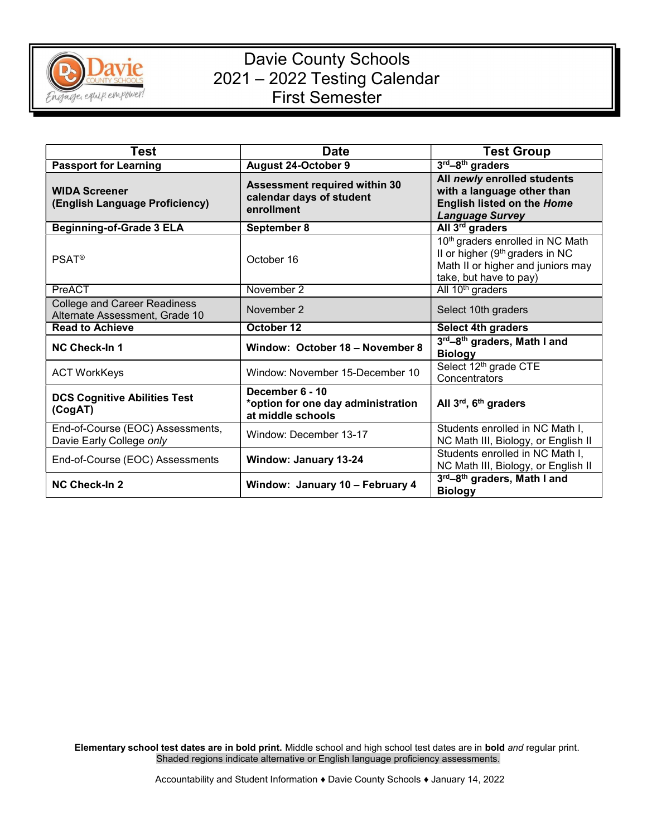

## Davie County Schools 2021 – 2022 Testing Calendar First Semester

| Test                                                                  | <b>Date</b>                                                                | <b>Test Group</b>                                                                                                                              |
|-----------------------------------------------------------------------|----------------------------------------------------------------------------|------------------------------------------------------------------------------------------------------------------------------------------------|
| <b>Passport for Learning</b>                                          | <b>August 24-October 9</b>                                                 | 3rd-8th graders                                                                                                                                |
| <b>WIDA Screener</b><br>(English Language Proficiency)                | Assessment required within 30<br>calendar days of student<br>enrollment    | All newly enrolled students<br>with a language other than<br><b>English listed on the Home</b><br><b>Language Survey</b>                       |
| <b>Beginning-of-Grade 3 ELA</b>                                       | September 8                                                                | All 3 <sup>rd</sup> graders                                                                                                                    |
| <b>PSAT<sup>®</sup></b>                                               | October 16                                                                 | 10th graders enrolled in NC Math<br>II or higher (9 <sup>th</sup> graders in NC<br>Math II or higher and juniors may<br>take, but have to pay) |
| PreACT                                                                | November 2                                                                 | All 10 <sup>th</sup> graders                                                                                                                   |
| <b>College and Career Readiness</b><br>Alternate Assessment, Grade 10 | November 2                                                                 | Select 10th graders                                                                                                                            |
| <b>Read to Achieve</b>                                                | October 12                                                                 | <b>Select 4th graders</b>                                                                                                                      |
| <b>NC Check-In 1</b>                                                  | Window: October 18 - November 8                                            | 3rd-8th graders, Math I and<br><b>Biology</b>                                                                                                  |
| <b>ACT WorkKeys</b>                                                   | Window: November 15-December 10                                            | Select 12 <sup>th</sup> grade CTE<br>Concentrators                                                                                             |
| <b>DCS Cognitive Abilities Test</b><br>(CogAT)                        | December 6 - 10<br>*option for one day administration<br>at middle schools | All 3rd, 6th graders                                                                                                                           |
| End-of-Course (EOC) Assessments,<br>Davie Early College only          | Window: December 13-17                                                     | Students enrolled in NC Math I,<br>NC Math III, Biology, or English II                                                                         |
| End-of-Course (EOC) Assessments                                       | <b>Window: January 13-24</b>                                               | Students enrolled in NC Math I,<br>NC Math III, Biology, or English II                                                                         |
| <b>NC Check-In 2</b>                                                  | Window: January 10 - February 4                                            | 3rd-8th graders, Math I and<br><b>Biology</b>                                                                                                  |

Elementary school test dates are in bold print. Middle school and high school test dates are in bold and regular print. Shaded regions indicate alternative or English language proficiency assessments.